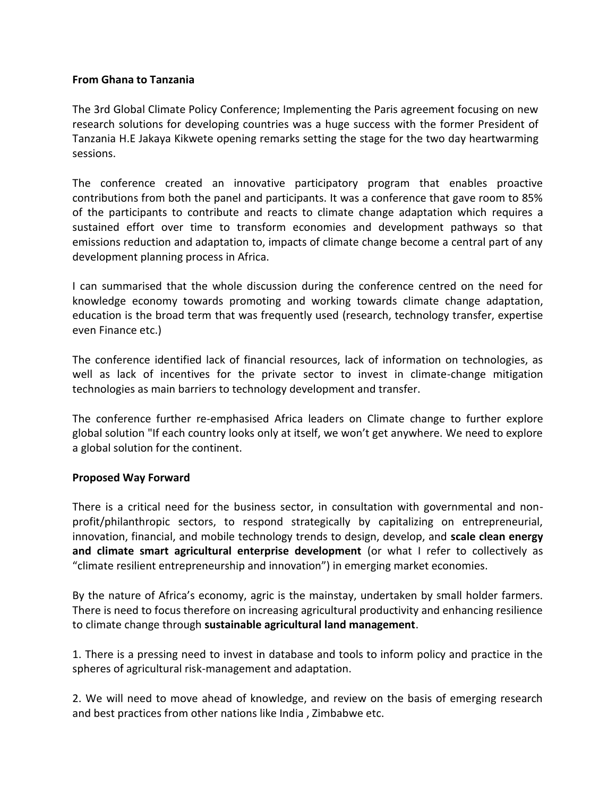## **From Ghana to Tanzania**

The 3rd Global Climate Policy Conference; Implementing the Paris agreement focusing on new research solutions for developing countries was a huge success with the former President of Tanzania H.E Jakaya Kikwete opening remarks setting the stage for the two day heartwarming sessions.

The conference created an innovative participatory program that enables proactive contributions from both the panel and participants. It was a conference that gave room to 85% of the participants to contribute and reacts to climate change adaptation which requires a sustained effort over time to transform economies and development pathways so that emissions reduction and adaptation to, impacts of climate change become a central part of any development planning process in Africa.

I can summarised that the whole discussion during the conference centred on the need for knowledge economy towards promoting and working towards climate change adaptation, education is the broad term that was frequently used (research, technology transfer, expertise even Finance etc.)

The conference identified lack of financial resources, lack of information on technologies, as well as lack of incentives for the private sector to invest in climate-change mitigation technologies as main barriers to technology development and transfer.

The conference further re-emphasised Africa leaders on Climate change to further explore global solution "If each country looks only at itself, we won't get anywhere. We need to explore a global solution for the continent.

## **Proposed Way Forward**

There is a critical need for the business sector, in consultation with governmental and nonprofit/philanthropic sectors, to respond strategically by capitalizing on entrepreneurial, innovation, financial, and mobile technology trends to design, develop, and **scale clean energy and climate smart agricultural enterprise development** (or what I refer to collectively as "climate resilient entrepreneurship and innovation") in emerging market economies.

By the nature of Africa's economy, agric is the mainstay, undertaken by small holder farmers. There is need to focus therefore on increasing agricultural productivity and enhancing resilience to climate change through **sustainable agricultural land management**.

1. There is a pressing need to invest in database and tools to inform policy and practice in the spheres of agricultural risk-management and adaptation.

2. We will need to move ahead of knowledge, and review on the basis of emerging research and best practices from other nations like India , Zimbabwe etc.